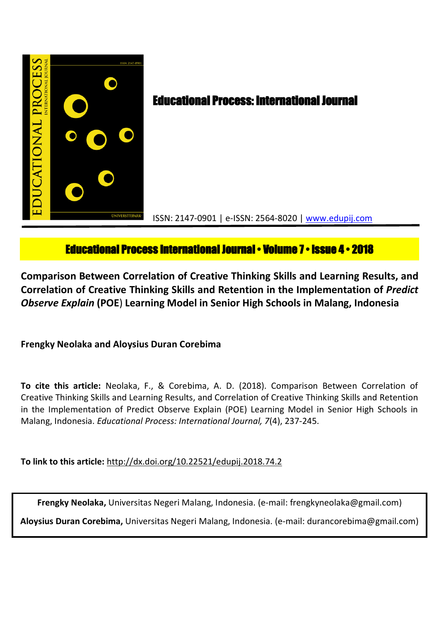

# **Educational Process International Journal • Volume 7 • Issue 4 • 2018**

**Comparison Between Correlation of Creative Thinking Skills and Learning Results, and Correlation of Creative Thinking Skills and Retention in the Implementation of** *Predict Observe Explain* **(POE**) **Learning Model in Senior High Schools in Malang, Indonesia**

**Frengky Neolaka and Aloysius Duran Corebima**

**To cite this article:** Neolaka, F., & Corebima, A. D. (2018). Comparison Between Correlation of Creative Thinking Skills and Learning Results, and Correlation of Creative Thinking Skills and Retention in the Implementation of Predict Observe Explain (POE) Learning Model in Senior High Schools in Malang, Indonesia. *Educational Process: International Journal, 7*(4), 237-245.

**To link to this article:** http://dx.doi.org/10.22521/edupij.2018.74.2

**Frengky Neolaka,** Universitas Negeri Malang, Indonesia. (e-mail: frengkyneolaka@gmail.com)

**Aloysius Duran Corebima,** Universitas Negeri Malang, Indonesia. (e-mail: durancorebima@gmail.com)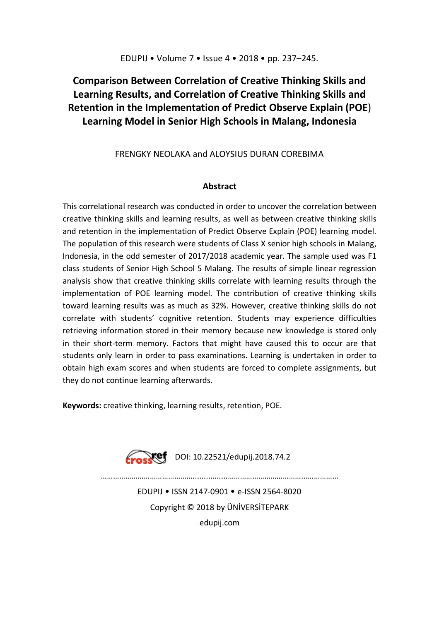## **Comparison Between Correlation of Creative Thinking Skills and Learning Results, and Correlation of Creative Thinking Skills and Retention in the Implementation of Predict Observe Explain (POE**) **Learning Model in Senior High Schools in Malang, Indonesia**

## FRENGKY NEOLAKA and ALOYSIUS DURAN COREBIMA

## **Abstract**

This correlational research was conducted in order to uncover the correlation between creative thinking skills and learning results, as well as between creative thinking skills and retention in the implementation of Predict Observe Explain (POE) learning model. The population of this research were students of Class X senior high schools in Malang, Indonesia, in the odd semester of 2017/2018 academic year. The sample used was F1 class students of Senior High School 5 Malang. The results of simple linear regression analysis show that creative thinking skills correlate with learning results through the implementation of POE learning model. The contribution of creative thinking skills toward learning results was as much as 32%. However, creative thinking skills do not correlate with students' cognitive retention. Students may experience difficulties retrieving information stored in their memory because new knowledge is stored only in their short-term memory. Factors that might have caused this to occur are that students only learn in order to pass examinations. Learning is undertaken in order to obtain high exam scores and when students are forced to complete assignments, but they do not continue learning afterwards.

**Keywords:** creative thinking, learning results, retention, POE.



EDUPIJ • ISSN 2147-0901 • e-ISSN 2564-8020 Copyright © 2018 by ÜNİVERSİTEPARK edupij.com

………………………………………........….....………………………………...……………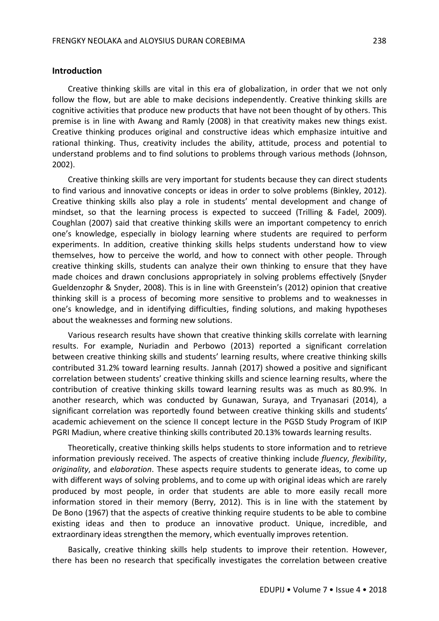#### **Introduction**

Creative thinking skills are vital in this era of globalization, in order that we not only follow the flow, but are able to make decisions independently. Creative thinking skills are cognitive activities that produce new products that have not been thought of by others. This premise is in line with Awang and Ramly (2008) in that creativity makes new things exist. Creative thinking produces original and constructive ideas which emphasize intuitive and rational thinking. Thus, creativity includes the ability, attitude, process and potential to understand problems and to find solutions to problems through various methods (Johnson, 2002).

Creative thinking skills are very important for students because they can direct students to find various and innovative concepts or ideas in order to solve problems (Binkley, 2012). Creative thinking skills also play a role in students' mental development and change of mindset, so that the learning process is expected to succeed (Trilling & Fadel, 2009). Coughlan (2007) said that creative thinking skills were an important competency to enrich one's knowledge, especially in biology learning where students are required to perform experiments. In addition, creative thinking skills helps students understand how to view themselves, how to perceive the world, and how to connect with other people. Through creative thinking skills, students can analyze their own thinking to ensure that they have made choices and drawn conclusions appropriately in solving problems effectively (Snyder Gueldenzophr & Snyder, 2008). This is in line with Greenstein's (2012) opinion that creative thinking skill is a process of becoming more sensitive to problems and to weaknesses in one's knowledge, and in identifying difficulties, finding solutions, and making hypotheses about the weaknesses and forming new solutions.

Various research results have shown that creative thinking skills correlate with learning results. For example, Nuriadin and Perbowo (2013) reported a significant correlation between creative thinking skills and students' learning results, where creative thinking skills contributed 31.2% toward learning results. Jannah (2017) showed a positive and significant correlation between students' creative thinking skills and science learning results, where the contribution of creative thinking skills toward learning results was as much as 80.9%. In another research, which was conducted by Gunawan, Suraya, and Tryanasari (2014), a significant correlation was reportedly found between creative thinking skills and students' academic achievement on the science II concept lecture in the PGSD Study Program of IKIP PGRI Madiun, where creative thinking skills contributed 20.13% towards learning results.

Theoretically, creative thinking skills helps students to store information and to retrieve information previously received. The aspects of creative thinking include *fluency*, *flexibility*, *originality*, and *elaboration*. These aspects require students to generate ideas, to come up with different ways of solving problems, and to come up with original ideas which are rarely produced by most people, in order that students are able to more easily recall more information stored in their memory (Berry, 2012). This is in line with the statement by De Bono (1967) that the aspects of creative thinking require students to be able to combine existing ideas and then to produce an innovative product. Unique, incredible, and extraordinary ideas strengthen the memory, which eventually improves retention.

Basically, creative thinking skills help students to improve their retention. However, there has been no research that specifically investigates the correlation between creative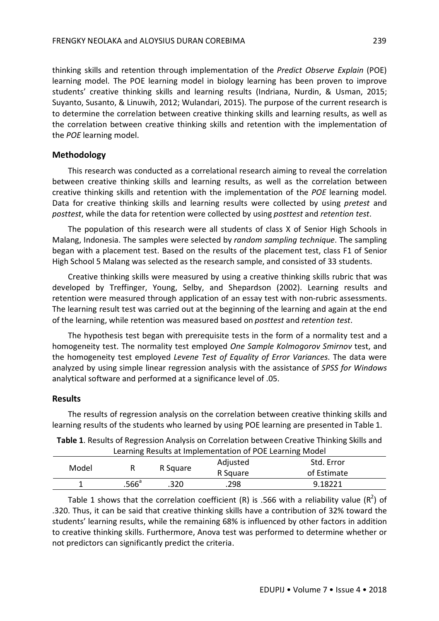thinking skills and retention through implementation of the *Predict Observe Explain* (POE) learning model. The POE learning model in biology learning has been proven to improve students' creative thinking skills and learning results (Indriana, Nurdin, & Usman, 2015; Suyanto, Susanto, & Linuwih, 2012; Wulandari, 2015). The purpose of the current research is to determine the correlation between creative thinking skills and learning results, as well as the correlation between creative thinking skills and retention with the implementation of the *POE* learning model.

#### **Methodology**

This research was conducted as a correlational research aiming to reveal the correlation between creative thinking skills and learning results, as well as the correlation between creative thinking skills and retention with the implementation of the *POE* learning model. Data for creative thinking skills and learning results were collected by using *pretest* and *posttest*, while the data for retention were collected by using *posttest* and *retention test*.

The population of this research were all students of class X of Senior High Schools in Malang, Indonesia. The samples were selected by *random sampling technique*. The sampling began with a placement test. Based on the results of the placement test, class F1 of Senior High School 5 Malang was selected as the research sample, and consisted of 33 students.

Creative thinking skills were measured by using a creative thinking skills rubric that was developed by Treffinger, Young, Selby, and Shepardson (2002). Learning results and retention were measured through application of an essay test with non-rubric assessments. The learning result test was carried out at the beginning of the learning and again at the end of the learning, while retention was measured based on *posttest* and *retention test*.

The hypothesis test began with prerequisite tests in the form of a normality test and a homogeneity test. The normality test employed *One Sample Kolmogorov Smirnov* test, and the homogeneity test employed *Levene Test of Equality of Error Variances*. The data were analyzed by using simple linear regression analysis with the assistance of *SPSS for Windows* analytical software and performed at a significance level of .05.

#### **Results**

The results of regression analysis on the correlation between creative thinking skills and learning results of the students who learned by using POE learning are presented in Table 1.

| Table 1. Results of Regression Analysis on Correlation between Creative Thinking Skills and |  |
|---------------------------------------------------------------------------------------------|--|
| Learning Results at Implementation of POE Learning Model                                    |  |

| Model |                | R Square | Adjusted<br>R Square | Std. Error<br>of Estimate |
|-------|----------------|----------|----------------------|---------------------------|
|       | $.566^{\circ}$ | .320     | .298                 | 9.18221                   |

Table 1 shows that the correlation coefficient (R) is .566 with a reliability value ( $R^2$ ) of .320. Thus, it can be said that creative thinking skills have a contribution of 32% toward the students' learning results, while the remaining 68% is influenced by other factors in addition to creative thinking skills. Furthermore, Anova test was performed to determine whether or not predictors can significantly predict the criteria.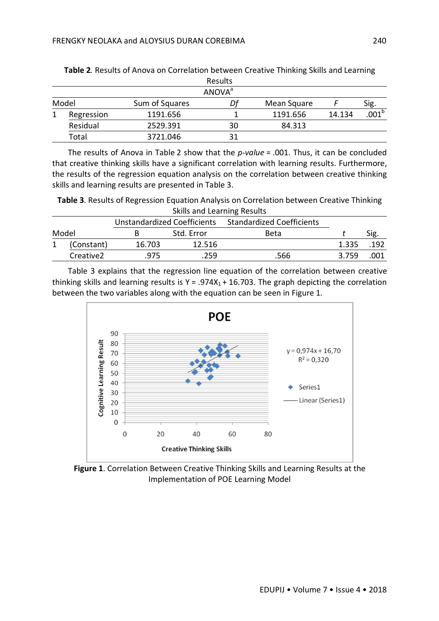|       |            |                | <b>Results</b>            |             |        |                   |
|-------|------------|----------------|---------------------------|-------------|--------|-------------------|
|       |            |                | <b>ANOVA</b> <sup>a</sup> |             |        |                   |
| Model |            | Sum of Squares | Dl                        | Mean Square |        | Sig.              |
|       | Regression | 1191.656       |                           | 1191.656    | 14.134 | .001 <sup>b</sup> |
|       | Residual   | 2529.391       | 30                        | 84.313      |        |                   |
|       | Total      | 3721.046       | 31                        |             |        |                   |

**Table 2***.* Results of Anova on Correlation between Creative Thinking Skills and Learning

The results of Anova in Table 2 show that the *p-value* = .001. Thus, it can be concluded that creative thinking skills have a significant correlation with learning results. Furthermore, the results of the regression equation analysis on the correlation between creative thinking skills and learning results are presented in Table 3.

**Table 3**. Results of Regression Equation Analysis on Correlation between Creative Thinking Skills and Learning Results

|       |                       | Unstandardized Coefficients |            | <b>Standardized Coefficients</b> |       |      |
|-------|-----------------------|-----------------------------|------------|----------------------------------|-------|------|
| Model |                       |                             | Std. Error | Beta                             |       |      |
|       | (Constant)            | 16.703                      | 12.516     |                                  | 1.335 | .192 |
|       | Creative <sub>2</sub> | 975                         | 259        | 566.                             | 3759  | .001 |
|       |                       |                             |            |                                  |       |      |

Table 3 explains that the regression line equation of the correlation between creative thinking skills and learning results is  $Y = .974X_1 + 16.703$ . The graph depicting the correlation between the two variables along with the equation can be seen in Figure 1.



**Figure 1**. Correlation Between Creative Thinking Skills and Learning Results at the Implementation of POE Learning Model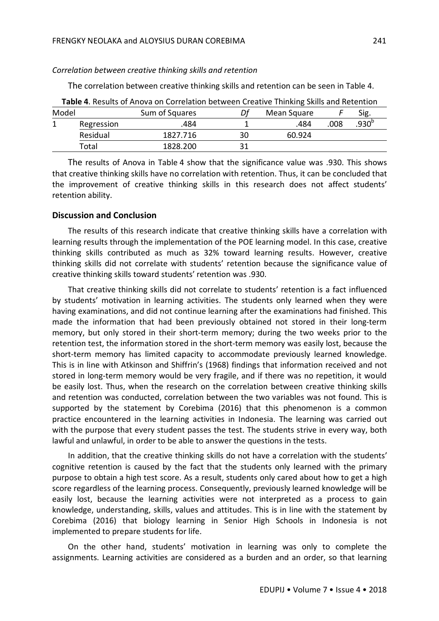#### *Correlation between creative thinking skills and retention*

The correlation between creative thinking skills and retention can be seen in Table 4.

| Table 4. Results of Anova on Correlation between Creative Thinking Skills and Retention |            |                |    |             |      |                   |
|-----------------------------------------------------------------------------------------|------------|----------------|----|-------------|------|-------------------|
| Model                                                                                   |            | Sum of Squares | Df | Mean Square |      | Sig.              |
|                                                                                         | Regression | .484           |    | .484        | .008 | .930 <sup>b</sup> |
|                                                                                         | Residual   | 1827.716       | 30 | 60.924      |      |                   |
|                                                                                         | Total      | 1828.200       |    |             |      |                   |

The results of Anova in Table 4 show that the significance value was .930. This shows that creative thinking skills have no correlation with retention. Thus, it can be concluded that the improvement of creative thinking skills in this research does not affect students' retention ability.

#### **Discussion and Conclusion**

The results of this research indicate that creative thinking skills have a correlation with learning results through the implementation of the POE learning model. In this case, creative thinking skills contributed as much as 32% toward learning results. However, creative thinking skills did not correlate with students' retention because the significance value of creative thinking skills toward students' retention was .930.

That creative thinking skills did not correlate to students' retention is a fact influenced by students' motivation in learning activities. The students only learned when they were having examinations, and did not continue learning after the examinations had finished. This made the information that had been previously obtained not stored in their long-term memory, but only stored in their short-term memory; during the two weeks prior to the retention test, the information stored in the short-term memory was easily lost, because the short-term memory has limited capacity to accommodate previously learned knowledge. This is in line with Atkinson and Shiffrin's (1968) findings that information received and not stored in long-term memory would be very fragile, and if there was no repetition, it would be easily lost. Thus, when the research on the correlation between creative thinking skills and retention was conducted, correlation between the two variables was not found. This is supported by the statement by Corebima (2016) that this phenomenon is a common practice encountered in the learning activities in Indonesia. The learning was carried out with the purpose that every student passes the test. The students strive in every way, both lawful and unlawful, in order to be able to answer the questions in the tests.

In addition, that the creative thinking skills do not have a correlation with the students' cognitive retention is caused by the fact that the students only learned with the primary purpose to obtain a high test score. As a result, students only cared about how to get a high score regardless of the learning process. Consequently, previously learned knowledge will be easily lost, because the learning activities were not interpreted as a process to gain knowledge, understanding, skills, values and attitudes. This is in line with the statement by Corebima (2016) that biology learning in Senior High Schools in Indonesia is not implemented to prepare students for life.

On the other hand, students' motivation in learning was only to complete the assignments. Learning activities are considered as a burden and an order, so that learning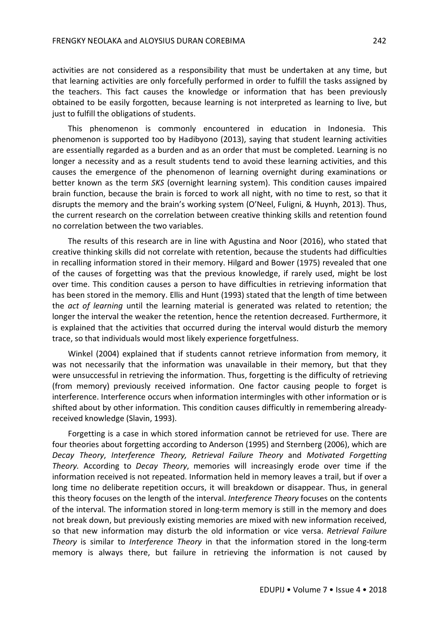activities are not considered as a responsibility that must be undertaken at any time, but that learning activities are only forcefully performed in order to fulfill the tasks assigned by the teachers. This fact causes the knowledge or information that has been previously obtained to be easily forgotten, because learning is not interpreted as learning to live, but just to fulfill the obligations of students.

This phenomenon is commonly encountered in education in Indonesia. This phenomenon is supported too by Hadibyono (2013), saying that student learning activities are essentially regarded as a burden and as an order that must be completed. Learning is no longer a necessity and as a result students tend to avoid these learning activities, and this causes the emergence of the phenomenon of learning overnight during examinations or better known as the term *SKS* (overnight learning system). This condition causes impaired brain function, because the brain is forced to work all night, with no time to rest, so that it disrupts the memory and the brain's working system (O'Neel, Fuligni, & Huynh, 2013). Thus, the current research on the correlation between creative thinking skills and retention found no correlation between the two variables.

The results of this research are in line with Agustina and Noor (2016), who stated that creative thinking skills did not correlate with retention, because the students had difficulties in recalling information stored in their memory. Hilgard and Bower (1975) revealed that one of the causes of forgetting was that the previous knowledge, if rarely used, might be lost over time. This condition causes a person to have difficulties in retrieving information that has been stored in the memory. Ellis and Hunt (1993) stated that the length of time between the *act of learning* until the learning material is generated was related to retention; the longer the interval the weaker the retention, hence the retention decreased. Furthermore, it is explained that the activities that occurred during the interval would disturb the memory trace, so that individuals would most likely experience forgetfulness.

Winkel (2004) explained that if students cannot retrieve information from memory, it was not necessarily that the information was unavailable in their memory, but that they were unsuccessful in retrieving the information. Thus, forgetting is the difficulty of retrieving (from memory) previously received information. One factor causing people to forget is interference. Interference occurs when information intermingles with other information or is shifted about by other information. This condition causes difficultly in remembering alreadyreceived knowledge (Slavin, 1993).

Forgetting is a case in which stored information cannot be retrieved for use. There are four theories about forgetting according to Anderson (1995) and Sternberg (2006), which are *Decay Theory*, *Interference Theory, Retrieval Failure Theory* and *Motivated Forgetting Theory.* According to *Decay Theory*, memories will increasingly erode over time if the information received is not repeated. Information held in memory leaves a trail, but if over a long time no deliberate repetition occurs, it will breakdown or disappear. Thus, in general this theory focuses on the length of the interval. *Interference Theory* focuses on the contents of the interval. The information stored in long-term memory is still in the memory and does not break down, but previously existing memories are mixed with new information received, so that new information may disturb the old information or vice versa. *Retrieval Failure Theory* is similar to *Interference Theory* in that the information stored in the long-term memory is always there, but failure in retrieving the information is not caused by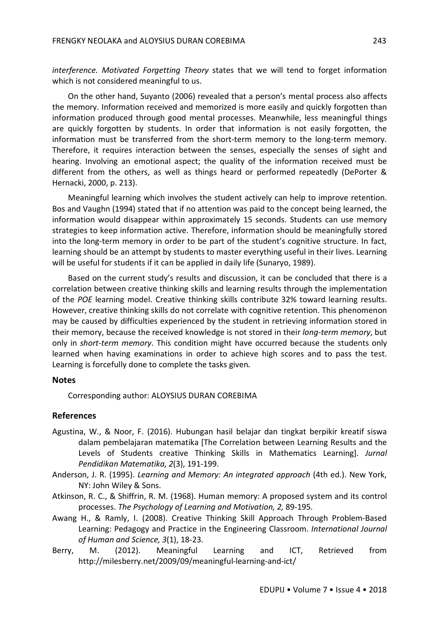*interference. Motivated Forgetting Theory* states that we will tend to forget information which is not considered meaningful to us.

On the other hand, Suyanto (2006) revealed that a person's mental process also affects the memory. Information received and memorized is more easily and quickly forgotten than information produced through good mental processes. Meanwhile, less meaningful things are quickly forgotten by students. In order that information is not easily forgotten, the information must be transferred from the short-term memory to the long-term memory. Therefore, it requires interaction between the senses, especially the senses of sight and hearing. Involving an emotional aspect; the quality of the information received must be different from the others, as well as things heard or performed repeatedly (DePorter & Hernacki, 2000, p. 213).

Meaningful learning which involves the student actively can help to improve retention. Bos and Vaughn (1994) stated that if no attention was paid to the concept being learned, the information would disappear within approximately 15 seconds. Students can use memory strategies to keep information active. Therefore, information should be meaningfully stored into the long-term memory in order to be part of the student's cognitive structure. In fact, learning should be an attempt by students to master everything useful in their lives. Learning will be useful for students if it can be applied in daily life (Sunaryo, 1989).

Based on the current study's results and discussion, it can be concluded that there is a correlation between creative thinking skills and learning results through the implementation of the *POE* learning model. Creative thinking skills contribute 32% toward learning results. However, creative thinking skills do not correlate with cognitive retention. This phenomenon may be caused by difficulties experienced by the student in retrieving information stored in their memory, because the received knowledge is not stored in their *long-term memory*, but only in *short-term memory*. This condition might have occurred because the students only learned when having examinations in order to achieve high scores and to pass the test. Learning is forcefully done to complete the tasks given**.**

#### **Notes**

Corresponding author: ALOYSIUS DURAN COREBIMA

#### **References**

- Agustina, W., & Noor, F. (2016). Hubungan hasil belajar dan tingkat berpikir kreatif siswa dalam pembelajaran matematika [The Correlation between Learning Results and the Levels of Students creative Thinking Skills in Mathematics Learning]. *Jurnal Pendidikan Matematika, 2*(3), 191-199.
- Anderson, J. R. (1995). *Learning and Memory: An integrated approach* (4th ed.). New York, NY: John Wiley & Sons.
- Atkinson, R. C., & Shiffrin, R. M. (1968). Human memory: A proposed system and its control processes. *The Psychology of Learning and Motivation, 2,* 89-195.
- Awang H., & Ramly, I. (2008). Creative Thinking Skill Approach Through Problem-Based Learning: Pedagogy and Practice in the Engineering Classroom. *International Journal of Human and Science, 3*(1), 18-23.
- Berry, M. (2012). Meaningful Learning and ICT, Retrieved from http://milesberry.net/2009/09/meaningful-learning-and-ict/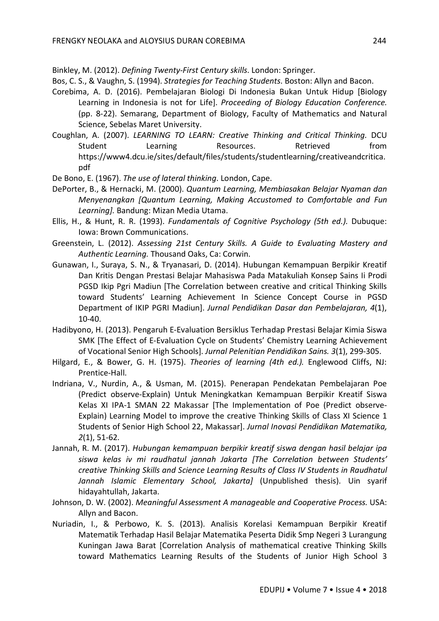Binkley, M. (2012). *Defining Twenty-First Century skills*. London: Springer.

Bos, C. S., & Vaughn, S. (1994). *Strategies for Teaching Students*. Boston: Allyn and Bacon.

- Corebima, A. D. (2016). Pembelajaran Biologi Di Indonesia Bukan Untuk Hidup [Biology Learning in Indonesia is not for Life]. *Proceeding of Biology Education Conference.*  (pp. 8-22). Semarang, Department of Biology, Faculty of Mathematics and Natural Science, Sebelas Maret University.
- Coughlan, A. (2007). *LEARNING TO LEARN: Creative Thinking and Critical Thinking.* DCU Student Learning Resources. Retrieved from https://www4.dcu.ie/sites/default/files/students/studentlearning/creativeandcritica. pdf

De Bono, E. (1967). *The use of lateral thinking*. London, Cape.

- DePorter, B., & Hernacki, M. (2000). *Quantum Learning, Membiasakan Belajar Nyaman dan Menyenangkan [Quantum Learning, Making Accustomed to Comfortable and Fun Learning].* Bandung: Mizan Media Utama.
- Ellis, H., & Hunt, R. R. (1993). *Fundamentals of Cognitive Psychology (5th ed.).* Dubuque: Iowa: Brown Communications.
- Greenstein, L. (2012). *Assessing 21st Century Skills. A Guide to Evaluating Mastery and Authentic Learning.* Thousand Oaks, Ca: Corwin.
- Gunawan, I., Suraya, S. N., & Tryanasari, D. (2014). Hubungan Kemampuan Berpikir Kreatif Dan Kritis Dengan Prestasi Belajar Mahasiswa Pada Matakuliah Konsep Sains Ii Prodi PGSD Ikip Pgri Madiun [The Correlation between creative and critical Thinking Skills toward Students' Learning Achievement In Science Concept Course in PGSD Department of IKIP PGRI Madiun]. *Jurnal Pendidikan Dasar dan Pembelajaran, 4*(1), 10-40.
- Hadibyono, H. (2013). Pengaruh E-Evaluation Bersiklus Terhadap Prestasi Belajar Kimia Siswa SMK [The Effect of E-Evaluation Cycle on Students' Chemistry Learning Achievement of Vocational Senior High Schools]. *Jurnal Pelenitian Pendidikan Sains. 3*(1), 299-305.
- Hilgard, E., & Bower, G. H. (1975). *Theories of learning (4th ed.).* Englewood Cliffs, NJ: Prentice-Hall.
- Indriana, V., Nurdin, A., & Usman, M. (2015). Penerapan Pendekatan Pembelajaran Poe (Predict observe-Explain) Untuk Meningkatkan Kemampuan Berpikir Kreatif Siswa Kelas XI IPA-1 SMAN 22 Makassar [The Implementation of Poe (Predict observe-Explain) Learning Model to improve the creative Thinking Skills of Class XI Science 1 Students of Senior High School 22, Makassar]. *Jurnal Inovasi Pendidikan Matematika, 2*(1), 51-62.
- Jannah, R. M. (2017). *Hubungan kemampuan berpikir kreatif siswa dengan hasil belajar ipa siswa kelas iv mi raudhatul jannah Jakarta [The Correlation between Students' creative Thinking Skills and Science Learning Results of Class IV Students in Raudhatul Jannah Islamic Elementary School, Jakarta]* (Unpublished thesis). Uin syarif hidayahtullah, Jakarta.
- Johnson, D. W. (2002). *Meaningful Assessment A manageable and Cooperative Process.* USA: Allyn and Bacon.
- Nuriadin, I., & Perbowo, K. S. (2013). Analisis Korelasi Kemampuan Berpikir Kreatif Matematik Terhadap Hasil Belajar Matematika Peserta Didik Smp Negeri 3 Lurangung Kuningan Jawa Barat [Correlation Analysis of mathematical creative Thinking Skills toward Mathematics Learning Results of the Students of Junior High School 3